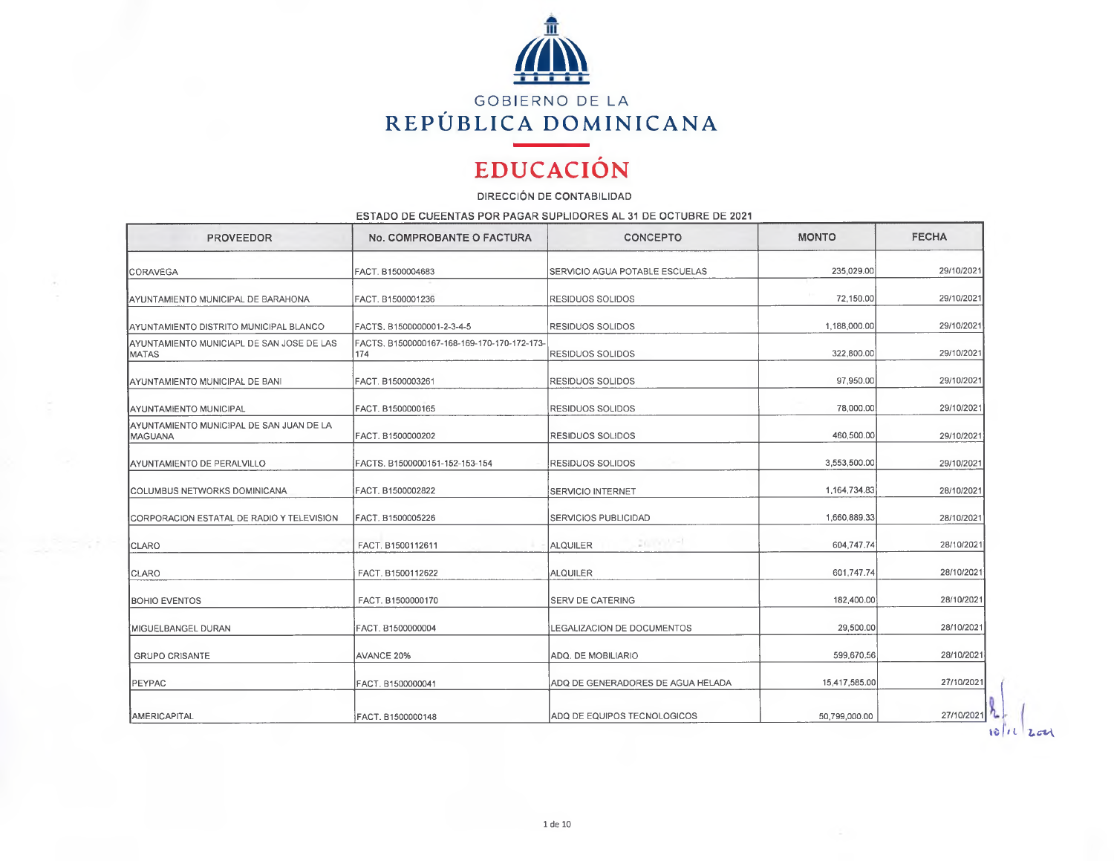

## **EDUCACIÓN**

DIRECCIÓN DE CONTABILIDAD

ESTADO DE CUEENTAS POR PAGAR SUPLIDORES AL 31 DE OCTUBRE DE 2021

| <b>PROVEEDOR</b>                                           | No. COMPROBANTE O FACTURA                          | <b>CONCEPTO</b>                   | <b>MONTO</b>  | <b>FECHA</b> |
|------------------------------------------------------------|----------------------------------------------------|-----------------------------------|---------------|--------------|
| <b>CORAVEGA</b>                                            | FACT. B1500004683                                  | SERVICIO AGUA POTABLE ESCUELAS    | 235,029.00    | 29/10/2021   |
| AYUNTAMIENTO MUNICIPAL DE BARAHONA                         | FACT, B1500001236                                  | RESIDUOS SOLIDOS                  | 72,150.00     | 29/10/2021   |
| AYUNTAMIENTO DISTRITO MUNICIPAL BLANCO                     | FACTS, B1500000001-2-3-4-5                         | <b>RESIDUOS SOLIDOS</b>           | 1.188,000.00  | 29/10/2021   |
| AYUNTAMIENTO MUNICIAPL DE SAN JOSE DE LAS<br><b>MATAS</b>  | FACTS. B1500000167-168-169-170-170-172-173-<br>174 | <b>RESIDUOS SOLIDOS</b>           | 322,800.00    | 29/10/2021   |
| IAYUNTAMIENTO MUNICIPAL DE BANI                            | FACT. B1500003261                                  | RESIDUOS SOLIDOS                  | 97,950.00     | 29/10/2021   |
| <b>AYUNTAMIENTO MUNICIPAL</b>                              | FACT. B1500000165                                  | <b>RESIDUOS SOLIDOS</b>           | 78,000.00     | 29/10/2021   |
| AYUNTAMIENTO MUNICIPAL DE SAN JUAN DE LA<br><b>MAGUANA</b> | FACT. B1500000202                                  | RESIDUOS SOLIDOS                  | 460.500.00    | 29/10/2021   |
| AYUNTAMIENTO DE PERALVILLO                                 | FACTS. B1500000151-152-153-154                     | <b>RESIDUOS SOLIDOS</b>           | 3,553,500.00  | 29/10/2021   |
| ICOLUMBUS NETWORKS DOMINICANA                              | FACT. B1500002822                                  | <b>SERVICIO INTERNET</b>          | 1,164,734.83  | 28/10/2021   |
| CORPORACION ESTATAL DE RADIO Y TELEVISION                  | FACT. B1500005226                                  | <b>SERVICIOS PUBLICIDAD</b>       | 1,660,889.33  | 28/10/2021   |
| CLARO                                                      | FACT. B1500112611                                  | 20/09/05 1<br><b>ALQUILER</b>     | 604,747.74    | 28/10/2021   |
| CLARO                                                      | FACT. B1500112622                                  | <b>ALQUILER</b>                   | 601,747.74    | 28/10/2021   |
| <b>BOHIO EVENTOS</b>                                       | FACT. B1500000170                                  | <b>SERV DE CATERING</b>           | 182,400.00    | 28/10/2021   |
| MIGUELBANGEL DURAN                                         | FACT. B1500000004                                  | <b>LEGALIZACION DE DOCUMENTOS</b> | 29,500.00     | 28/10/2021   |
| <b>GRUPO CRISANTE</b>                                      | AVANCE 20%                                         | ADQ. DE MOBILIARIO                | 599,670.56    | 28/10/2021   |
| <b>IPEYPAC</b>                                             | FACT. B1500000041                                  | ADQ DE GENERADORES DE AGUA HELADA | 15,417,585.00 | 27/10/2021   |
| AMERICAPITAL                                               | FACT. B1500000148                                  | IADQ DE EQUIPOS TECNOLOGICOS      | 50,799,000.00 | 27/10/2021   |

 $10 / 12$   $M$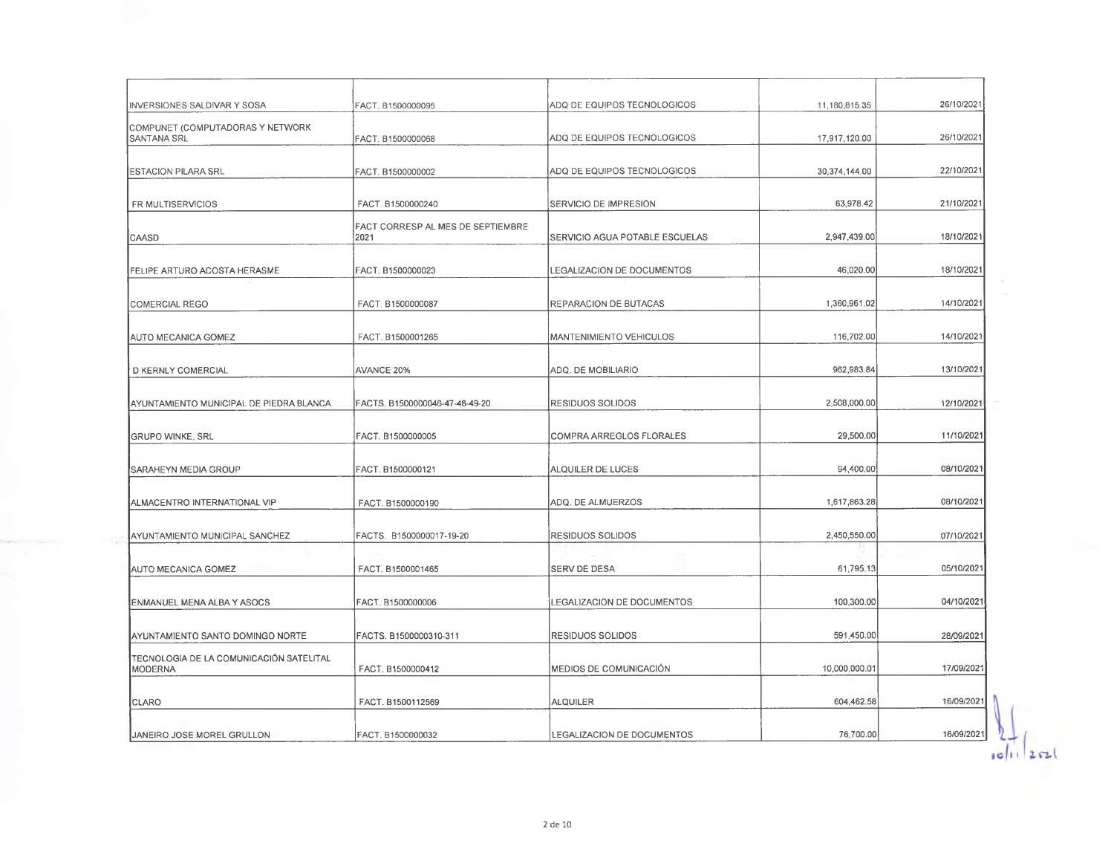| INVERSIONES SALDIVAR Y SOSA                        | FACT. B1500000095                         | ADQ DE EQUIPOS TECNOLOGICOS       | 11,180,815.35 | 26/10/2021 |
|----------------------------------------------------|-------------------------------------------|-----------------------------------|---------------|------------|
|                                                    |                                           |                                   |               |            |
| COMPUNET (COMPUTADORAS Y NETWORK<br>∥SANTANA SRL   | FACT. B1500000068                         | ADQ DE EQUIPOS TECNOLOGICOS       | 17,917,120.00 | 26/10/2021 |
| <b>ESTACION PILARA SRL</b>                         | FACT. B1500000002                         | ADQ DE EQUIPOS TECNOLOGICOS       | 30,374,144.00 | 22/10/2021 |
| FR MULTISERVICIOS                                  | FACT. B1500000240                         | SERVICIO DE IMPRESION             | 63,978.42     | 21/10/2021 |
| CAASD                                              | FACT CORRESP AL MES DE SEPTIEMBRE<br>2021 | SERVICIO AGUA POTABLE ESCUELAS    | 2,947,439.00  | 18/10/2021 |
| <b>FELIPE ARTURO ACOSTA HERASME</b>                | FACT. B1500000023                         | <b>LEGALIZACION DE DOCUMENTOS</b> | 46,020.00     | 18/10/2021 |
| <b>COMERCIAL REGO</b>                              | FACT. B1500000087                         | REPARACION DE BUTACAS             | 1,360,961.02  | 14/10/2021 |
| <b>AUTO MECANICA GOMEZ</b>                         | FACT. B1500001265                         | MANTENIMIENTO VEHICULOS           | 116,702.00    | 14/10/2021 |
| D KERNLY COMERCIAL                                 | <b>AVANCE 20%</b>                         | ADQ. DE MOBILIARIO                | 962,983.84    | 13/10/2021 |
| AYUNTAMIENTO MUNICIPAL DE PIEDRA BLANCA            | FACTS. B1500000046-47-48-49-20            | <b>RESIDUOS SOLIDOS</b>           | 2,508,000.00  | 12/10/2021 |
| <b>GRUPO WINKE, SRL</b>                            | FACT. B1500000005                         | <b>COMPRA ARREGLOS FLORALES</b>   | 29,500.00     | 11/10/2021 |
| SARAHEYN MEDIA GROUP                               | FACT. B1500000121                         | ALQUILER DE LUCES                 | 94,400.00     | 08/10/2021 |
|                                                    |                                           |                                   |               |            |
| ALMACENTRO INTERNATIONAL VIP                       | FACT. B1500000190                         | ADQ. DE ALMUERZOS                 | 1,617,863.28  | 08/10/2021 |
| AYUNTAMIENTO MUNICIPAL SANCHEZ                     | FACTS. B1500000017-19-20                  | RESIDUOS SOLIDOS                  | 2,450,550.00  | 07/10/2021 |
| AUTO MECANICA GOMEZ                                | FACT. B1500001465                         | SERV DE DESA                      | 61,795.13     | 05/10/2021 |
| ENMANUEL MENA ALBA Y ASOCS                         | FACT. B1500000006                         | LEGALIZACION DE DOCUMENTOS        | 100,300.00    | 04/10/2021 |
| AYUNTAMIENTO SANTO DOMINGO NORTE                   | FACTS. B1500000310-311                    | <b>RESIDUOS SOLIDOS</b>           | 591,450.00    | 28/09/2021 |
| TECNOLOGIA DE LA COMUNICACIÓN SATELITAL<br>MODERNA | FACT. B1500000412                         | MEDIOS DE COMUNICACIÓN            | 10,000,000.01 | 17/09/2021 |
| <b>CLARO</b>                                       | FACT. B1500112569                         | ALQUILER                          | 604,462.58    | 16/09/2021 |
|                                                    |                                           |                                   | 76,700.00     | 16/09/2021 |
| <b>JANEIRO JOSE MOREL GRULLON</b>                  | FACT. B1500000032                         | LEGALIZACION DE DOCUMENTOS        |               |            |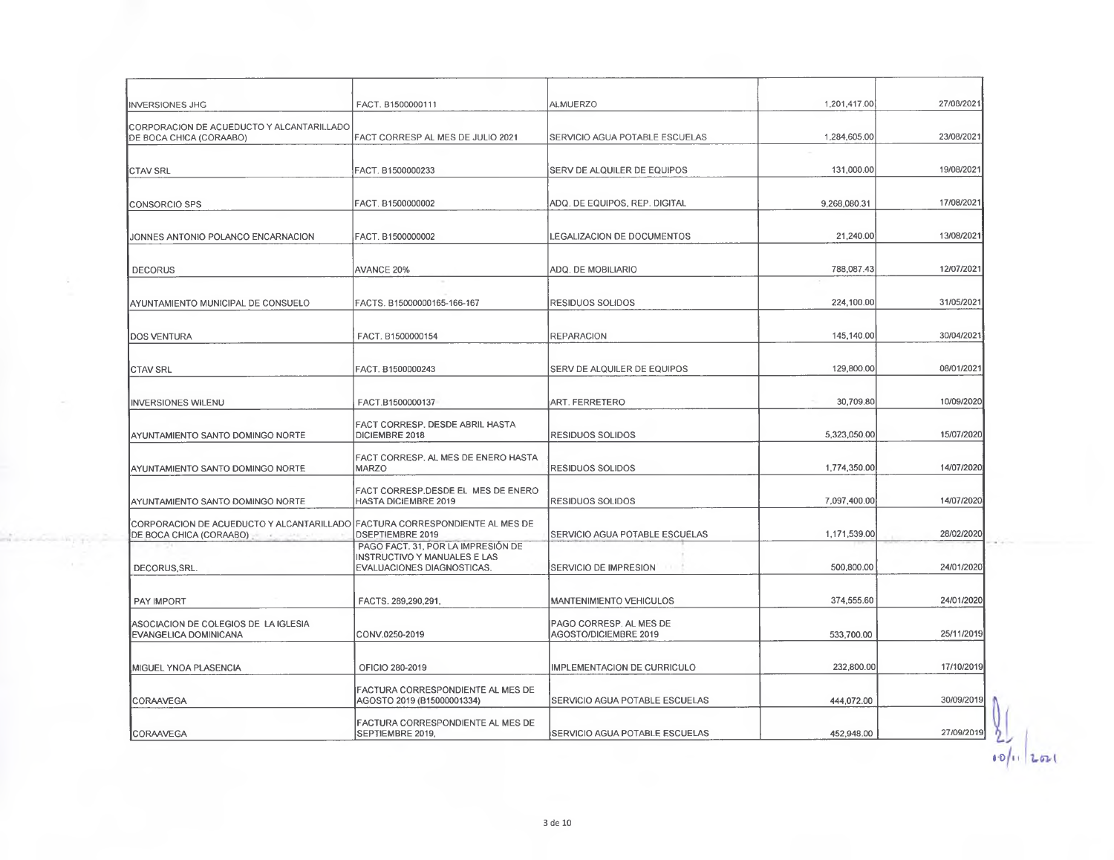| <b>INVERSIONES JHG</b>                                                                                           | FACT. B1500000111                                                                                | <b>ALMUERZO</b>                                  | 1,201,417.00 | 27/08/2021 |
|------------------------------------------------------------------------------------------------------------------|--------------------------------------------------------------------------------------------------|--------------------------------------------------|--------------|------------|
| CORPORACION DE ACUEDUCTO Y ALCANTARILLADO<br>DE BOCA CHICA (CORAABO)                                             | FACT CORRESP AL MES DE JULIO 2021                                                                | SERVICIO AGUA POTABLE ESCUELAS                   | 1,284,605.00 | 23/08/2021 |
| <b>CTAV SRL</b>                                                                                                  | FACT. B1500000233                                                                                | SERV DE ALQUILER DE EQUIPOS                      | 131,000.00   | 19/08/2021 |
| <b>CONSORCIO SPS</b>                                                                                             | FACT. B1500000002                                                                                | ADQ. DE EQUIPOS, REP. DIGITAL                    | 9,268,080.31 | 17/08/2021 |
| JONNES ANTONIO POLANCO ENCARNACION                                                                               | FACT. B1500000002                                                                                | LEGALIZACION DE DOCUMENTOS                       | 21,240.00    | 13/08/2021 |
| <b>DECORUS</b>                                                                                                   | AVANCE 20%                                                                                       | ADQ. DE MOBILIARIO                               | 788,087.43   | 12/07/2021 |
| AYUNTAMIENTO MUNICIPAL DE CONSUELO                                                                               | FACTS. B15000000165-166-167                                                                      | RESIDUOS SOLIDOS                                 | 224,100.00   | 31/05/2021 |
| <b>DOS VENTURA</b>                                                                                               | FACT. B1500000154                                                                                | <b>REPARACION</b>                                | 145,140.00   | 30/04/2021 |
| ICTAV SRL                                                                                                        | FACT. B1500000243                                                                                | SERV DE ALQUILER DE EQUIPOS                      | 129,800.00   | 08/01/2021 |
| <b>INVERSIONES WILENU</b>                                                                                        | FACT.B1500000137                                                                                 | ART. FERRETERO                                   | 30,709.80    | 10/09/2020 |
| AYUNTAMIENTO SANTO DOMINGO NORTE                                                                                 | FACT CORRESP. DESDE ABRIL HASTA<br>DICIEMBRE 2018                                                | RESIDUOS SOLIDOS                                 | 5,323,050.00 | 15/07/2020 |
| AYUNTAMIENTO SANTO DOMINGO NORTE                                                                                 | FACT CORRESP. AL MES DE ENERO HASTA<br><b>MARZO</b>                                              | <b>RESIDUOS SOLIDOS</b>                          | 1,774,350.00 | 14/07/2020 |
| AYUNTAMIENTO SANTO DOMINGO NORTE                                                                                 | FACT CORRESP.DESDE EL MES DE ENERO<br><b>HASTA DICIEMBRE 2019</b>                                | <b>RESIDUOS SOLIDOS</b>                          | 7,097,400.00 | 14/07/2020 |
| CORPORACION DE ACUEDUCTO Y ALCANTARILLADO FACTURA CORRESPONDIENTE AL MES DE<br>DE BOCA CHICA (CORAABO)<br>$\sim$ | <b>DSEPTIEMBRE 2019</b>                                                                          | SERVICIO AGUA POTABLE ESCUELAS                   | 1,171,539.00 | 28/02/2020 |
| DECORUS SRL.                                                                                                     | PAGO FACT. 31, POR LA IMPRESIÓN DE<br>INSTRUCTIVO Y MANUALES E LAS<br>EVALUACIONES DIAGNOSTICAS. | SERVICIO DE IMPRESION                            | 500,800.00   | 24/01/2020 |
| PAY IMPORT                                                                                                       | FACTS. 289,290,291,                                                                              | MANTENIMIENTO VEHICULOS                          | 374,555.60   | 24/01/2020 |
| ASOCIACION DE COLEGIOS DE LA IGLESIA<br>EVANGELICA DOMINICANA                                                    | CONV.0250-2019                                                                                   | PAGO CORRESP. AL MES DE<br>AGOSTO/DICIEMBRE 2019 | 533,700.00   | 25/11/2019 |
| MIGUEL YNOA PLASENCIA                                                                                            | OFICIO 280-2019                                                                                  | IMPLEMENTACION DE CURRICULO                      | 232,800.00   | 17/10/2019 |
| CORAAVEGA                                                                                                        | FACTURA CORRESPONDIENTE AL MES DE<br>AGOSTO 2019 (B15000001334)                                  | SERVICIO AGUA POTABLE ESCUELAS                   | 444,072.00   | 30/09/2019 |
| CORAAVEGA                                                                                                        | FACTURA CORRESPONDIENTE AL MES DE<br>SEPTIEMBRE 2019,                                            | SERVICIO AGUA POTABLE ESCUELAS                   | 452,948.00   | 27/09/2019 |
|                                                                                                                  |                                                                                                  |                                                  |              |            |

÷.

**WE TOON** 

a.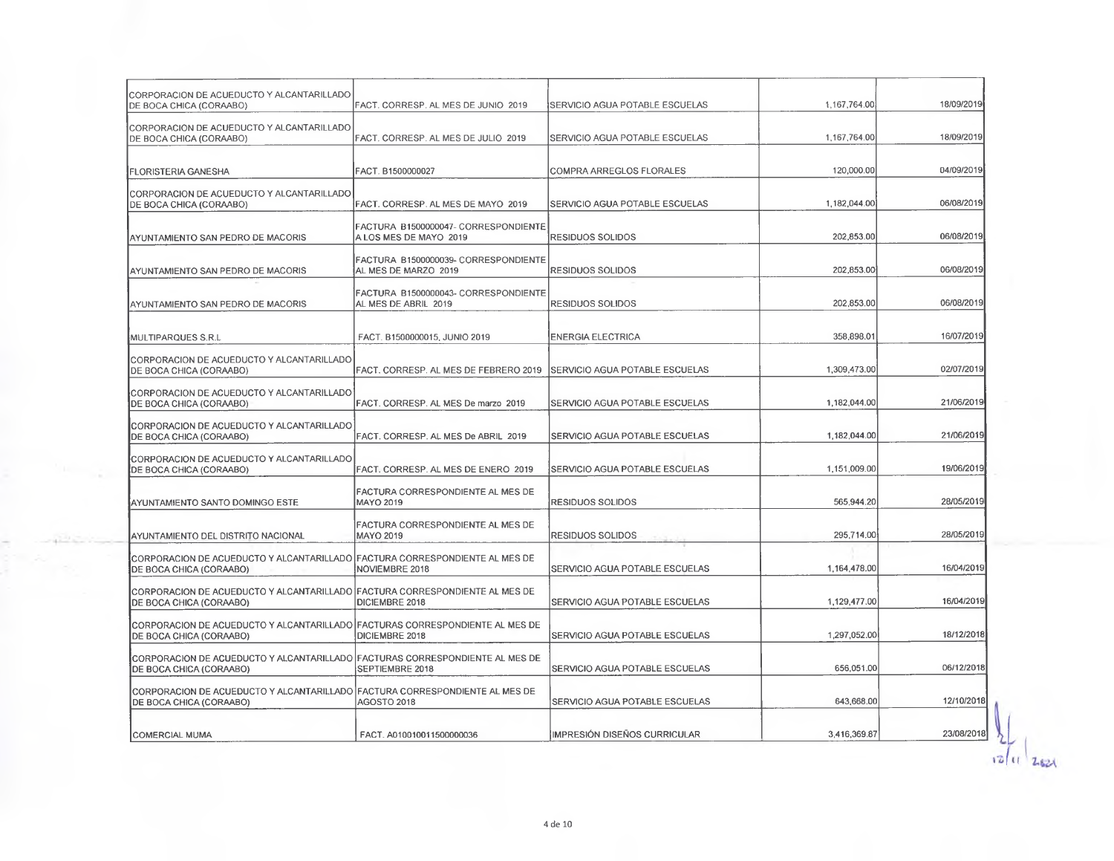| CORPORACION DE ACUEDUCTO Y ALCANTARILLADO<br>DE BOCA CHICA (CORAABO)                                    | FACT, CORRESP. AL MES DE JUNIO 2019                            | SERVICIO AGUA POTABLE ESCUELAS | 1,167,764.00 | 18/09/2019 |
|---------------------------------------------------------------------------------------------------------|----------------------------------------------------------------|--------------------------------|--------------|------------|
| CORPORACION DE ACUEDUCTO Y ALCANTARILLADO<br>DE BOCA CHICA (CORAABO)                                    | FACT. CORRESP. AL MES DE JULIO 2019                            | SERVICIO AGUA POTABLE ESCUELAS | 1,167,764.00 | 18/09/2019 |
| <b>FLORISTERIA GANESHA</b>                                                                              | FACT. B1500000027                                              | COMPRA ARREGLOS FLORALES       | 120,000.00   | 04/09/2019 |
| CORPORACION DE ACUEDUCTO Y ALCANTARILLADO<br>DE BOCA CHICA (CORAABO)                                    | FACT. CORRESP. AL MES DE MAYO 2019                             | SERVICIO AGUA POTABLE ESCUELAS | 1,182,044.00 | 06/08/2019 |
| AYUNTAMIENTO SAN PEDRO DE MACORIS                                                                       | FACTURA B1500000047- CORRESPONDIENTE<br>A LOS MES DE MAYO 2019 | RESIDUOS SOLIDOS               | 202,853.00   | 06/08/2019 |
| AYUNTAMIENTO SAN PEDRO DE MACORIS                                                                       | FACTURA B1500000039- CORRESPONDIENTE<br>AL MES DE MARZO 2019   | <b>RESIDUOS SOLIDOS</b>        | 202,853.00   | 06/08/2019 |
| AYUNTAMIENTO SAN PEDRO DE MACORIS                                                                       | FACTURA B1500000043- CORRESPONDIENTE<br>AL MES DE ABRIL 2019   | RESIDUOS SOLIDOS               | 202,853.00   | 06/08/2019 |
| MULTIPARQUES S.R.L                                                                                      | FACT. B1500000015, JUNIO 2019                                  | ENERGIA ELECTRICA              | 358,898.01   | 16/07/2019 |
| CORPORACION DE ACUEDUCTO Y ALCANTARILLADO<br>DE BOCA CHICA (CORAABO)                                    | FACT. CORRESP. AL MES DE FEBRERO 2019                          | SERVICIO AGUA POTABLE ESCUELAS | 1,309,473.00 | 02/07/2019 |
| CORPORACION DE ACUEDUCTO Y ALCANTARILLADO<br>DE BOCA CHICA (CORAABO)                                    | FACT. CORRESP. AL MES De marzo 2019                            | SERVICIO AGUA POTABLE ESCUELAS | 1,182,044.00 | 21/06/2019 |
| CORPORACION DE ACUEDUCTO Y ALCANTARILLADO<br>DE BOCA CHICA (CORAABO)                                    | FACT. CORRESP. AL MES De ABRIL 2019                            | SERVICIO AGUA POTABLE ESCUELAS | 1,182,044.00 | 21/06/2019 |
| CORPORACION DE ACUEDUCTO Y ALCANTARILLADO<br>DE BOCA CHICA (CORAABO)                                    | FACT. CORRESP. AL MES DE ENERO 2019                            | SERVICIO AGUA POTABLE ESCUELAS | 1,151,009.00 | 19/06/2019 |
| AYUNTAMIENTO SANTO DOMINGO ESTE                                                                         | FACTURA CORRESPONDIENTE AL MES DE<br><b>MAYO 2019</b>          | RESIDUOS SOLIDOS               | 565,944.20   | 28/05/2019 |
| AYUNTAMIENTO DEL DISTRITO NACIONAL                                                                      | FACTURA CORRESPONDIENTE AL MES DE<br>MAYO 2019                 | RESIDUOS SOLIDOS               | 295,714.00   | 28/05/2019 |
| CORPORACION DE ACUEDUCTO Y ALCANTARILLADO FACTURA CORRESPONDIENTE AL MÉS DE<br>DE BOCA CHICA (CORAABO)  | NOVIEMBRE 2018                                                 | SERVICIO AGUA POTABLE ESCUELAS | 1,164,478.00 | 16/04/2019 |
| CORPORACION DE ACUEDUCTO Y ALCANTARILLADO FACTURA CORRESPONDIENTE AL MES DE<br>DE BOCA CHICA (CORAABO)  | DICIEMBRE 2018                                                 | SERVICIO AGUA POTABLE ESCUELAS | 1,129,477.00 | 16/04/2019 |
| CORPORACION DE ACUEDUCTO Y ALCANTARILLADO FACTURAS CORRESPONDIENTE AL MES DE<br>DE BOCA CHICA (CORAABO) | DICIEMBRE 2018                                                 | SERVICIO AGUA POTABLE ESCUELAS | 1,297,052.00 | 18/12/2018 |
| CORPORACION DE ACUEDUCTO Y ALCANTARILLADO FACTURAS CORRESPONDIENTE AL MES DE<br>DE BOCA CHICA (CORAABO) | SEPTIEMBRE 2018                                                | SERVICIO AGUA POTABLE ESCUELAS | 656,051.00   | 06/12/2018 |
| CORPORACION DE ACUEDUCTO Y ALCANTARILLADO FACTURA CORRESPONDIENTE AL MES DE<br>DE BOCA CHICA (CORAABO)  | AGOSTO 2018                                                    | SERVICIO AGUA POTABLE ESCUELAS | 643,668.00   | 12/10/2018 |
| ICOMERCIAL MUMA                                                                                         | FACT. A010010011500000036                                      | IMPRESIÓN DISEÑOS CURRICULAR   | 3,416,369.87 | 23/08/2018 |

 $\mathbf{B}_{\mathrm{max}}$  .

 $-20.3$ 

 $1211$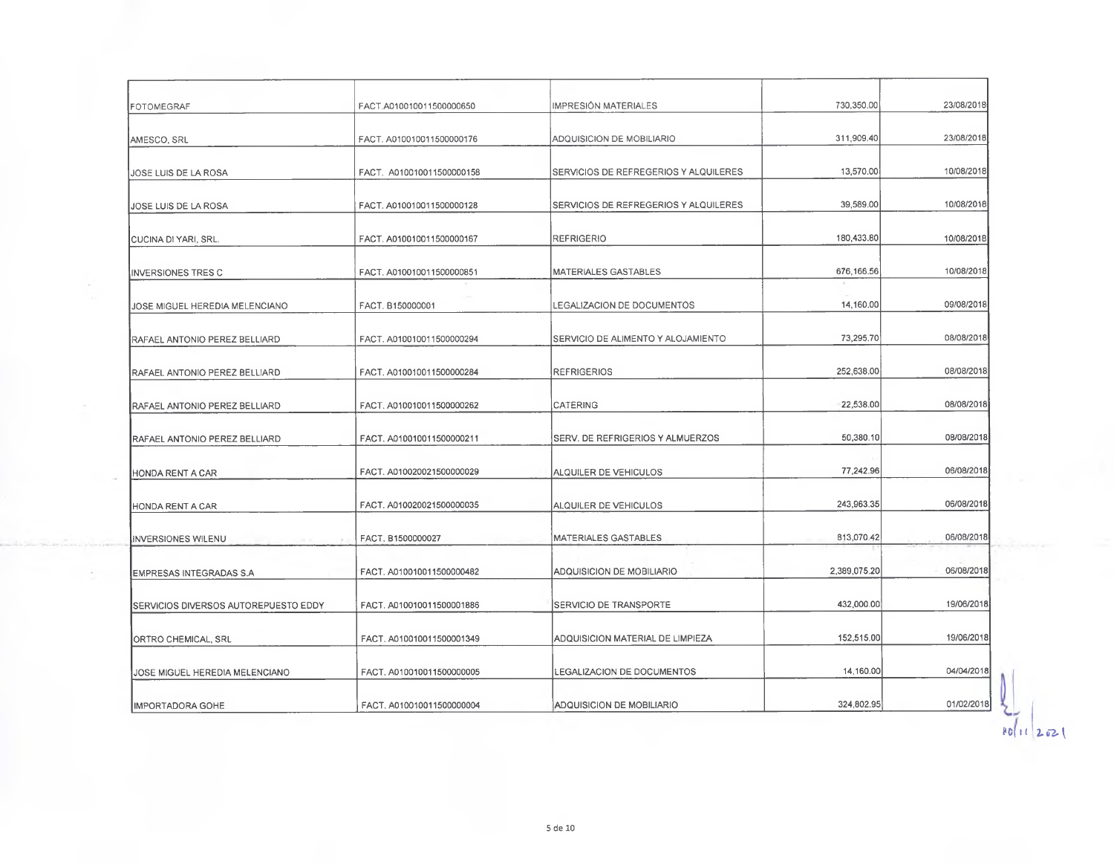|                                      | FACT.A010010011500000650  | IMPRESIÓN MATERIALES                  | 730,350.00   | 23/08/2018 |
|--------------------------------------|---------------------------|---------------------------------------|--------------|------------|
| FOTOMEGRAF                           |                           |                                       |              |            |
| AMESCO, SRL                          | FACT. A010010011500000176 | ADQUISICION DE MOBILIARIO             | 311,909.40   | 23/08/2018 |
| JOSE LUIS DE LA ROSA                 | FACT. A010010011500000158 | SERVICIOS DE REFREGERIOS Y ALQUILERES | 13,570.00    | 10/08/2018 |
| JOSE LUIS DE LA ROSA                 | FACT. A010010011500000128 | SERVICIOS DE REFREGERIOS Y ALQUILERES | 39,589.00    | 10/08/2018 |
| <b>CUCINA DI YARI, SRL.</b>          | FACT. A010010011500000167 | <b>REFRIGERIO</b>                     | 180,433.80   | 10/08/2018 |
| <b>INVERSIONES TRES C</b>            | FACT. A010010011500000851 | <b>MATERIALES GASTABLES</b>           | 676,166.56   | 10/08/2018 |
| JOSE MIGUEL HEREDIA MELENCIANO       | FACT. B150000001          | LEGALIZACION DE DOCUMENTOS            | 14,160.00    | 09/08/2018 |
| RAFAEL ANTONIO PEREZ BELLIARD        | FACT, A010010011500000294 | SERVICIO DE ALIMENTO Y ALOJAMIENTO    | 73,295.70    | 08/08/2018 |
| RAFAEL ANTONIO PEREZ BELLIARD        | FACT. A010010011500000284 | <b>REFRIGERIOS</b>                    | 252,638.00   | 08/08/2018 |
| RAFAEL ANTONIO PEREZ BELLIARD        | FACT. A010010011500000262 | CATERING                              | 22,538.00    | 08/08/2018 |
| RAFAEL ANTONIO PEREZ BELLIARD        | FACT. A010010011500000211 | SERV. DE REFRIGERIOS Y ALMUERZOS      | 50,380.10    | 08/08/2018 |
| HONDA RENT A CAR                     | FACT. A010020021500000029 | ALQUILER DE VEHICULOS                 | 77,242.96    | 06/08/2018 |
| HONDA RENT A CAR                     | FACT. A010020021500000035 | ALQUILER DE VEHICULOS                 | 243,963.35   | 06/08/2018 |
| INVERSIONES WILENU                   | FACT, B1500000027         | MATERIALES GASTABLES                  | 813,070.42   | 06/08/2018 |
| EMPRESAS INTEGRADAS S.A              | FACT. A010010011500000482 | ADQUISICION DE MOBILIARIO             | 2,389,075.20 | 06/08/2018 |
| SERVICIOS DIVERSOS AUTOREPUESTO EDDY | FACT. A010010011500001886 | SERVICIO DE TRANSPORTÉ                | 432,000.00   | 19/06/2018 |
| ORTRO CHEMICAL, SRL                  | FACT. A010010011500001349 | ADQUISICION MATERIAL DE LIMPIEZA      | 152,515.00   | 19/06/2018 |
| JOSE MIGUEL HEREDIA MELENCIANO       | FACT. A010010011500000005 | LEGALIZACION DE DOCUMENTOS            | 14,160.00    | 04/04/2018 |
| IMPORTADORA GOHE                     | FACT. A010010011500000004 | ADQUISICION DE MOBILIARIO             | 324,802.95   | 01/02/2018 |

- 300

 $\frac{1}{80}$  (1  $\frac{1}{202}$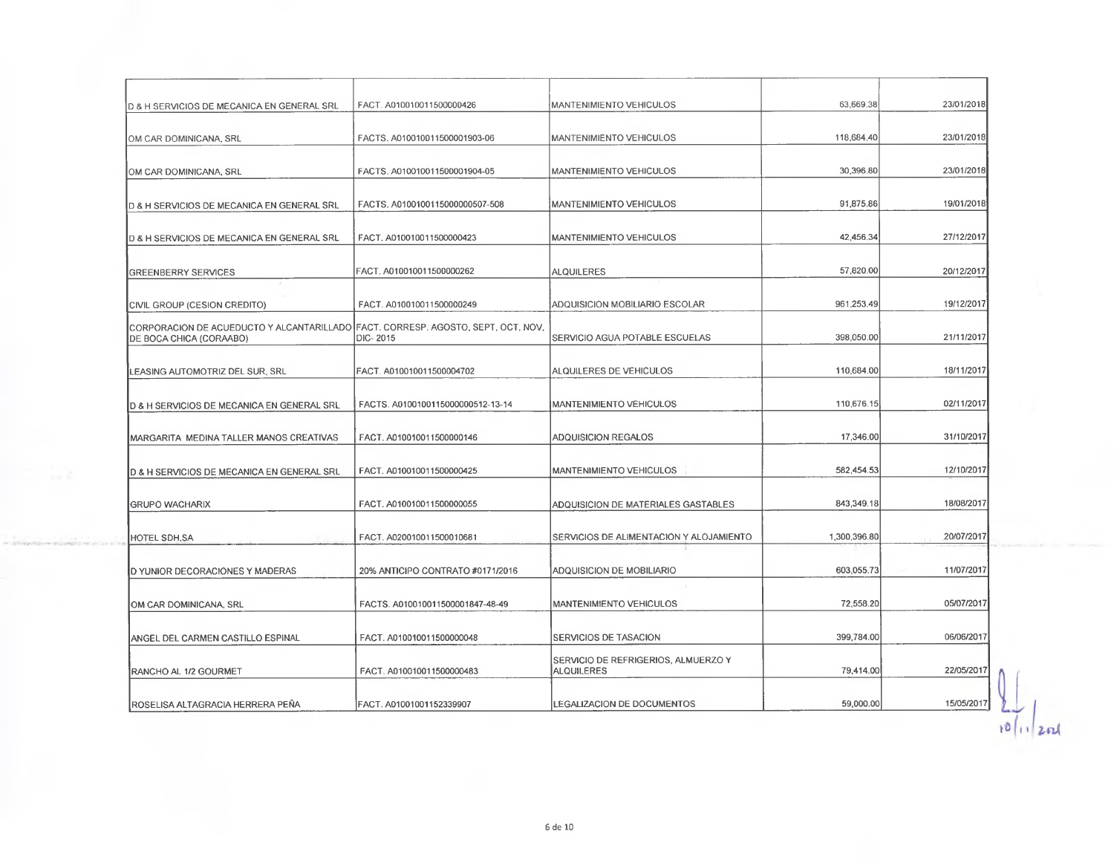| D & H SERVICIOS DE MECANICA EN GENERAL SRL                                                                  | FACT. A010010011500000426         | MANTENIMIENTO VEHICULOS                                   | 63,669.38    | 23/01/2018 |
|-------------------------------------------------------------------------------------------------------------|-----------------------------------|-----------------------------------------------------------|--------------|------------|
| OM CAR DOMINICANA, SRL                                                                                      | FACTS. A010010011500001903-06     | MANTENIMIENTO VEHICULOS                                   | 118,684.40   | 23/01/2018 |
| OM CAR DOMINICANA, SRL                                                                                      | FACTS. A010010011500001904-05     | MANTENIMIENTO VEHICULOS                                   | 30,396.80    | 23/01/2018 |
| <b>D &amp; H SERVICIOS DE MECANICA EN GENERAL SRL</b>                                                       | FACTS. A0100100115000000507-508   | MANTENIMIENTO VEHICULOS                                   | 91.875.86    | 19/01/2018 |
| D & H SERVICIOS DE MECANICA EN GENERAL SRL                                                                  | FACT. A010010011500000423         | <b>IMANTENIMIENTO VEHICULOS</b>                           | 42.456.34    | 27/12/2017 |
| GREENBERRY SERVICES                                                                                         | FACT. A010010011500000262         | <b>ALQUILERES</b>                                         | 57.820.00    | 20/12/2017 |
| CIVIL GROUP (CESION CREDITO)                                                                                | FACT. A010010011500000249         | ADQUISICION MOBILIARIO ESCOLAR                            | 961.253.49   | 19/12/2017 |
| CORPORACION DE ACUEDUCTO Y ALCANTARILLADO FACT. CORRESP. AGOSTO, SEPT, OCT, NOV,<br>DE BOCA CHICA (CORAABO) | DIC-2015                          | SERVICIO AGUA POTABLE ESCUELAS                            | 398.050.00   | 21/11/2017 |
| LEASING AUTOMOTRIZ DEL SUR, SRL                                                                             | FACT. A010010011500004702         | ALQUILERES DE VEHICULOS                                   | 110,684.00   | 18/11/2017 |
| D & H SERVICIOS DE MECANICA EN GENERAL SRL                                                                  | FACTS, A0100100115000000512-13-14 | MANTENIMIENTO VEHICULOS                                   | 110,676.15   | 02/11/2017 |
| <b>IMARGARITA MEDINA TALLER MANOS CREATIVAS</b>                                                             | FACT. A010010011500000146         | <b>ADQUISICION REGALOS</b>                                | 17,346.00    | 31/10/2017 |
| D & H SERVICIOS DE MECANICA EN GENERAL SRL                                                                  | FACT. A010010011500000425         | <b>MANTENIMIENTO VEHICULOS</b>                            | 582,454.53   | 12/10/2017 |
| <b>IGRUPO WACHARIX</b>                                                                                      | FACT, A0100100115000000055        | ADQUISICION DE MATERIALES GASTABLES                       | 843,349.18   | 18/08/2017 |
| HOTEL SDH,SA                                                                                                | FACT. A020010011500010681         | SERVICIOS DE ALIMENTACION Y ALOJAMIENTO                   | 1,300,396.80 | 20/07/2017 |
| D YUNIOR DECORACIONES Y MADERAS                                                                             | 20% ANTICIPO CONTRATO #0171/2016  | ADQUISICION DE MOBILIARIO                                 | 603.055.73   | 11/07/2017 |
| OM CAR DOMINICANA, SRL                                                                                      | FACTS. A010010011500001847-48-49  | <b>IMANTENIMIENTO VEHICULOS</b>                           | 72,558.20    | 05/07/2017 |
| ANGEL DEL CARMEN CASTILLO ESPINAL                                                                           | FACT. A010010011500000048         | <b>SERVICIOS DE TASACION</b>                              | 399,784.00   | 06/06/2017 |
| RANCHO AL 1/2 GOURMET                                                                                       | FACT. A010010011500000483         | ISERVICIO DE REFRIGERIOS, ALMUERZO Y<br><b>ALQUILERES</b> | 79,414.00    | 22/05/2017 |
| ROSELISA ALTAGRACIA HERRERA PEÑA                                                                            | IFACT. A01001001152339907         | <b>ILEGALIZACION DE DOCUMENTOS</b>                        | 59,000.00    | 15/05/2017 |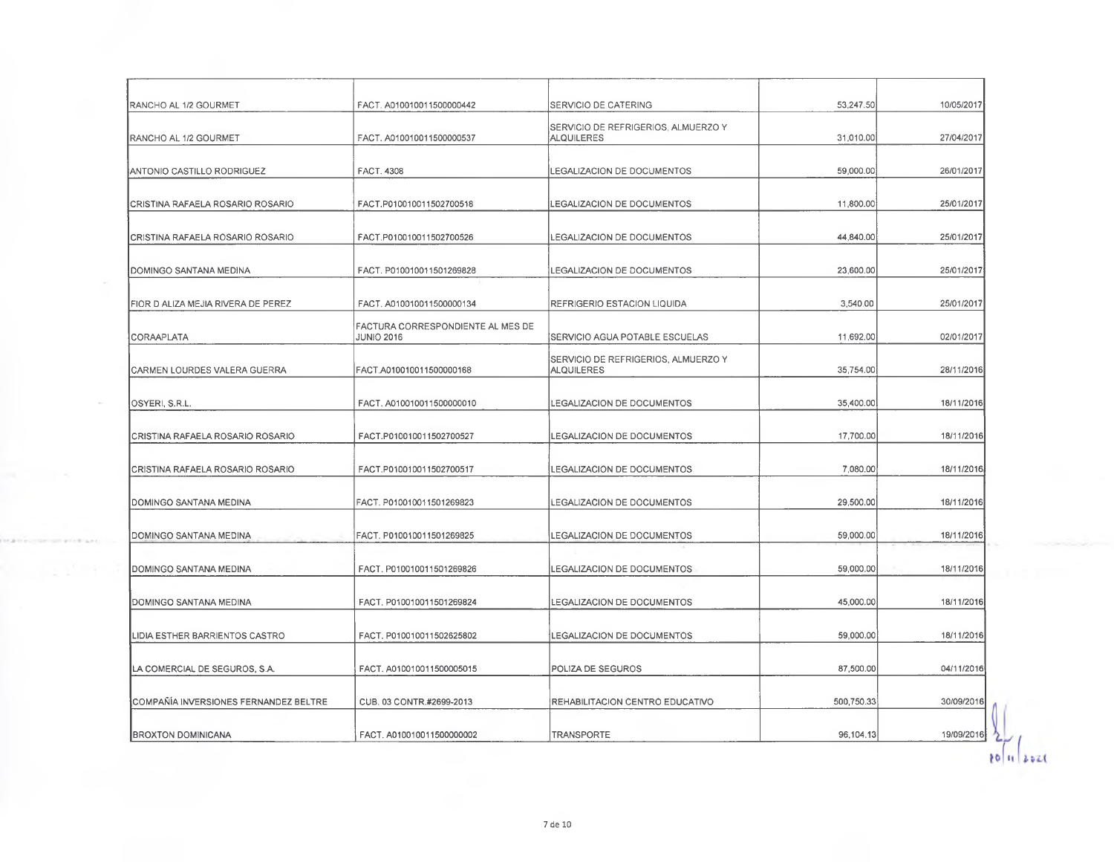| RANCHO AL 1/2 GOURMET                 | FACT. A010010011500000442                               | <b>SERVICIO DE CATERING</b>                               | 53,247.50  | 10/05/2017 |
|---------------------------------------|---------------------------------------------------------|-----------------------------------------------------------|------------|------------|
| RANCHO AL 1/2 GOURMET                 | FACT. A010010011500000537                               | <b>ISERVICIO DE REFRIGERIOS. ALMUERZO Y</b><br>ALQUILERES | 31,010.00  | 27/04/2017 |
| ANTONIO CASTILLO RODRIGUEZ            | <b>FACT. 4308</b>                                       | LEGALIZACION DE DOCUMENTOS                                | 59,000.00  | 26/01/2017 |
|                                       |                                                         |                                                           |            |            |
| CRISTINA RAFAELA ROSARIO ROSARIO      | FACT.P010010011502700518                                | LEGALIZACION DE DOCUMENTOS                                | 11,800.00  | 25/01/2017 |
| CRISTINA RAFAELA ROSARIO ROSARIO      | FACT.P010010011502700526                                | <b>LEGALIZACION DE DOCUMENTOS</b>                         | 44,840.00  | 25/01/2017 |
| DOMINGO SANTANA MEDINA                | FACT. P010010011501269828                               | LEGALIZACION DE DOCUMENTOS                                | 23,600.00  | 25/01/2017 |
| FIOR D ALIZA MEJIA RIVERA DE PEREZ    | FACT. A010010011500000134                               | REFRIGERIO ESTACION LIQUIDA                               | 3,540.00   | 25/01/2017 |
| CORAAPLATA                            | FACTURA CORRESPONDIENTE AL MES DE!<br><b>JUNIO 2016</b> | SERVICIO AGUA POTABLE ESCUELAS                            | 11,692.00  | 02/01/2017 |
| CARMEN LOURDES VALERA GUERRA          | FACT.A010010011500000168                                | SERVICIO DE REFRIGERIOS, ALMUERZO Y<br>ALQUILERES         | 35,754.00  | 28/11/2016 |
| OSYERI, S.R.L.                        | FACT. A010010011500000010                               | LEGALIZACION DE DOCUMENTOS                                | 35,400.00  | 18/11/2016 |
| CRISTINA RAFAELA ROSARIO ROSARIO      | FACT.P010010011502700527                                | LEGALIZACION DE DOCUMENTOS                                | 17,700.00  | 18/11/2016 |
| CRISTINA RAFAELA ROSARIO ROSARIO      | FACT.P010010011502700517                                | LEGALIZACION DE DOCUMENTOS                                | 7,080.00   | 18/11/2016 |
| DOMINGO SANTANA MEDINA                | FACT. P010010011501269823                               | LEGALIZACION DE DOCUMENTOS                                | 29,500.00  | 18/11/2016 |
| DOMINGO SANTANA MEDINA                | FACT. P010010011501269825                               | LEGALIZACION DE DOCUMENTOS                                | 59,000.00  | 18/11/2016 |
| DOMINGO SANTANA MEDINA                | FACT. P010010011501269826                               | LEGALIZACION DE DOCUMENTOS                                | 59,000.00  | 18/11/2016 |
| DOMINGO SANTANA MEDINA                | FACT. P010010011501269824                               | LEGALIZACION DE DOCUMENTOS                                | 45,000.00  | 18/11/2016 |
| LIDIA ESTHER BARRIENTOS CASTRO        | FACT. P010010011502625802                               | LEGALIZACION DE DOCUMENTOS                                | 59,000.00  | 18/11/2016 |
| LA COMERCIAL DE SEGUROS, S.A.         | FACT. A010010011500005015                               | POLIZA DE SEGUROS                                         | 87,500.00  | 04/11/2016 |
| COMPAÑÍA INVERSIONES FERNANDEZ BELTRE | CUB. 03 CONTR.#2699-2013                                | REHABILITACION CENTRO EDUCATIVO                           | 500,750.33 | 30/09/2016 |
| BROXTON DOMINICANA                    | FACT. A010010011500000002                               | <b>TRANSPORTE</b>                                         | 96,104.13  | 19/09/2016 |

×.

**CERTIFICATE** 

 $\bigcup_{\mathfrak{d} \in \mathfrak{m}} \bigcup_{\mathfrak{d} \text{ mod } \mathfrak{d}}$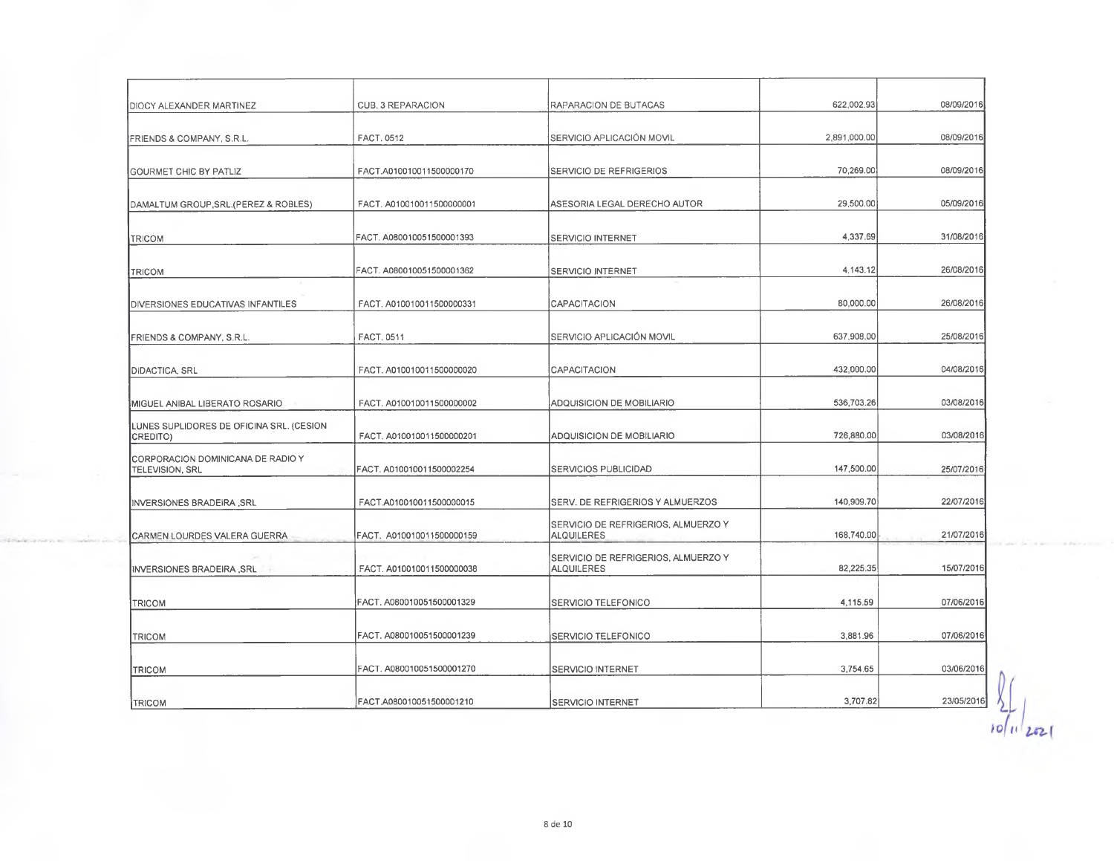| <b>IDIOCY ALEXANDER MARTINEZ</b>                            | CUB. 3 REPARACION         | <b>RAPARACION DE BUTACAS</b>                             | 622,002.93   | 08/09/2016 |
|-------------------------------------------------------------|---------------------------|----------------------------------------------------------|--------------|------------|
| FRIENDS & COMPANY, S.R.L.                                   | FACT. 0512                | SERVICIO APLICACIÓN MOVIL                                | 2,891,000.00 | 08/09/2016 |
| <b>GOURMET CHIC BY PATLIZ</b>                               | FACT.A010010011500000170  | SERVICIO DE REFRIGERIOS                                  | 70,269.00    | 08/09/2016 |
| DAMALTUM GROUP, SRL. (PEREZ & ROBLES)                       | FACT. A010010011500000001 | ASESORIA LEGAL DERECHO AUTOR                             | 29,500.00    | 05/09/2016 |
| <b>TRICOM</b>                                               | FACT. A080010051500001393 | <b>SERVICIO INTERNET</b>                                 | 4,337.69     | 31/08/2016 |
| <b>TRICOM</b>                                               | FACT. A080010051500001362 | <b>SERVICIO INTERNET</b>                                 | 4,143.12     | 26/08/2016 |
| DIVERSIONES EDUCATIVAS INFANTILES                           | FACT. A010010011500000331 | CAPACITACION                                             | 80,000.00    | 26/08/2016 |
| FRIENDS & COMPANY, S.R.L.                                   | FACT. 0511                | SERVICIO APLICACIÓN MOVIL                                | 637,908.00   | 25/08/2016 |
| ∥DIDACTICA, SRL                                             | FACT. A010010011500000020 | <b>CAPACITACION</b>                                      | 432,000.00   | 04/08/2016 |
| MIGUEL ANIBAL LIBERATO ROSARIO                              | FACT. A010010011500000002 | ADQUISICION DE MOBILIARIO                                | 536,703.26   | 03/08/2016 |
| LUNES SUPLIDORES DE OFICINA SRL. (CESION<br>CREDITO)        | FACT. A010010011500000201 | ADQUISICION DE MOBILIARIO                                | 726,880.00   | 03/08/2016 |
| CORPORACION DOMINICANA DE RADIO Y<br><b>TELEVISION, SRL</b> | FACT. A010010011500002254 | SERVICIOS PUBLICIDAD                                     | 147,500.00   | 25/07/2016 |
| INVERSIONES BRADEIRA, SRL                                   | FACT.A010010011500000015  | SERV. DE REFRIGERIOS Y ALMUERZOS                         | 140,909.70   | 22/07/2016 |
| CARMEN LOURDES VALERA GUERRA                                | FACT. A010010011500000159 | SERVICIO DE REFRIGERIOS, ALMUERZO Y<br><b>ALQUILERES</b> | 168,740.00   | 21/07/2016 |
| INVERSIONES BRADEIRA , SRL                                  | FACT. A010010011500000038 | SERVICIO DE REFRIGERIOS, ALMUERZO Y<br><b>ALQUILERES</b> | 82,225.35    | 15/07/2016 |
| <b>TRICOM</b>                                               | FACT. A080010051500001329 | SERVICIO TELEFONICO                                      | 4,115.59     | 07/06/2016 |
| <b>TRICOM</b>                                               | FACT. A080010051500001239 | <b>SERVICIO TELEFONICO</b>                               | 3,881.96     | 07/06/2016 |
| <b>TRICOM</b>                                               | FACT. A080010051500001270 | SERVICIO INTERNET                                        | 3,754.65     | 03/06/2016 |
| TRICOM                                                      | IFACT.A080010051500001210 | <b>SERVICIO INTERNET</b>                                 | 3,707.82     | 23/05/2016 |

8 de 10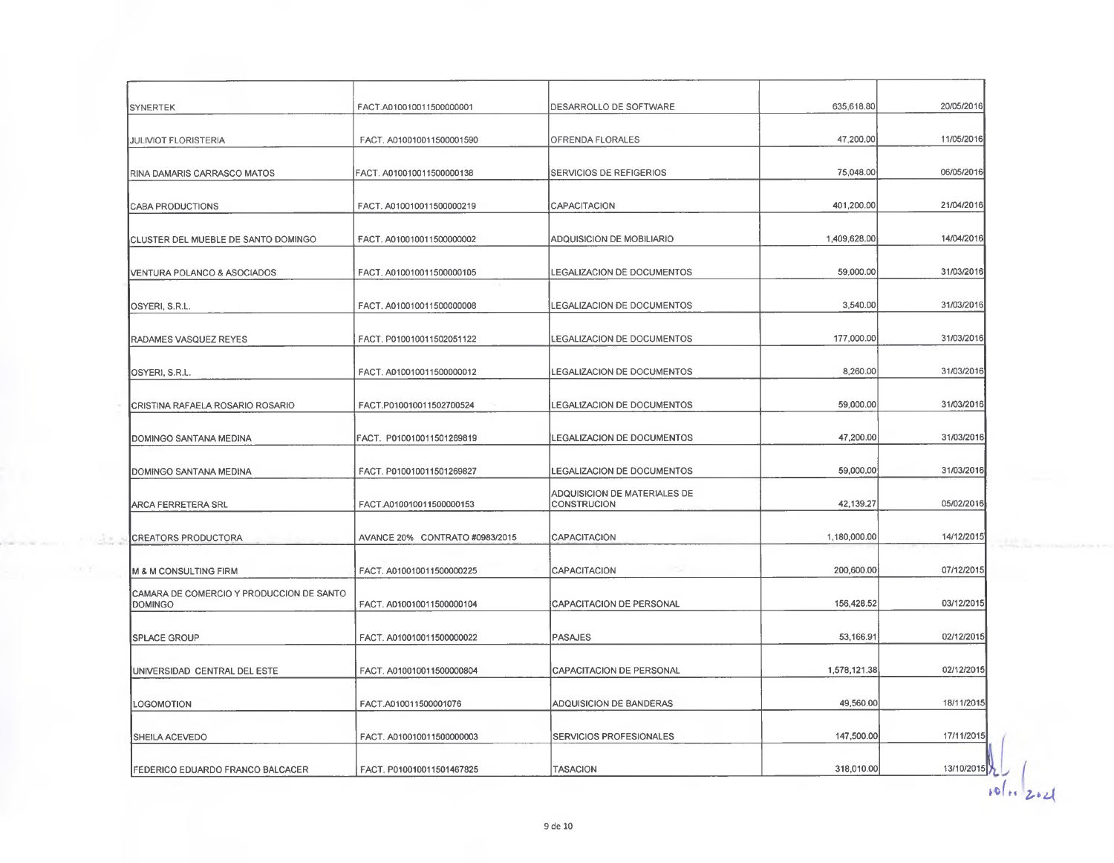| <b>SYNERTEK</b>                                            | FACT.A010010011500000001       | DESARROLLO DE SOFTWARE                             | 635,618.80   | 20/05/2016 |
|------------------------------------------------------------|--------------------------------|----------------------------------------------------|--------------|------------|
| JULIVIOT FLORISTERIA                                       | FACT. A010010011500001590      | OFRENDA FLORALES                                   | 47,200.00    | 11/05/2016 |
| RINA DAMARIS CARRASCO MATOS                                | FACT. A010010011500000138      | SERVICIOS DE REFIGERIOS                            | 75,048.00    | 06/05/2016 |
| <b>CABA PRODUCTIONS</b>                                    | FACT. A010010011500000219      | CAPACITACIÓN                                       | 401,200.00   | 21/04/2016 |
| CLUSTER DEL MUEBLE DE SANTO DOMINGO                        | FACT. A010010011500000002      | ADQUISICION DE MOBILIARIO                          | 1,409,628.00 | 14/04/2016 |
| VENTURA POLANCO & ASOCIADOS                                | FACT. A010010011500000105      | LEGALIZACION DE DOCUMENTOS                         | 59,000.00    | 31/03/2016 |
| OSYERI, S.R.L.                                             | FACT. A010010011500000008      | LEGALIZACION DE DOCUMENTOS                         | 3,540.00     | 31/03/2016 |
| RADAMES VASQUEZ REYES                                      | FACT. P010010011502051122      | <b>LEGALIZACION DE DOCUMENTOS</b>                  | 177,000.00   | 31/03/2016 |
| OSYERI, S.R.L.                                             | FACT. A010010011500000012      | LEGALIZACION DE DOCUMENTOS                         | 8,260.00     | 31/03/2016 |
| CRISTINA RAFAELA ROSARIO ROSARIO                           | FACT.P010010011502700524       | LEGALIZACION DE DOCUMENTOS                         | 59,000.00    | 31/03/2016 |
| DOMINGO SANTANA MEDINA                                     | FACT. P010010011501269819      | LEGALIZACION DE DOCUMENTOS                         | 47,200.00    | 31/03/2016 |
| DOMINGO SANTANA MEDINA                                     | FACT. P010010011501269827      | LEGALIZACION DE DOCUMENTOS                         | 59,000.00    | 31/03/2016 |
| ARCA FERRETERA SRL                                         | FACT.A010010011500000153       | ADQUISICION DE MATERIALES DE<br><b>CONSTRUCION</b> | 42,139.27    | 05/02/2016 |
| <b>CREATORS PRODUCTORA</b>                                 | AVANCE 20% CONTRATO #0983/2015 | CAPACITACION                                       | 1,180,000.00 | 14/12/2015 |
| M & M CONSULTING FIRM                                      | FACT. A010010011500000225      | CAPACITACION                                       | 200,600.00   | 07/12/2015 |
| CAMARA DE COMERCIO Y PRODUCCION DE SANTO<br><b>DOMINGO</b> | FACT. A010010011500000104      | CAPACITACION DE PERSONAL                           | 156,428.52   | 03/12/2015 |
| <b>SPLACE GROUP</b>                                        | FACT, A010010011500000022      | <b>PASAJES</b>                                     | 53,166.91    | 02/12/2015 |
| UNIVERSIDAD CENTRAL DEL ESTE                               | FACT. A010010011500000804      | CAPACITACION DE PERSONAL                           | 1,578,121.38 | 02/12/2015 |
| LOGOMOTION                                                 | FACT.A010011500001076          | ADQUISICION DE BANDERAS                            | 49,560.00    | 18/11/2015 |
| SHEILA ACEVEDO                                             | FACT. A010010011500000003      | SERVICIOS PROFESIONALES                            | 147,500.00   | 17/11/2015 |
| FEDERICO EDUARDO FRANCO BALCACER                           | FACT. P010010011501467825      | <b>TASACION</b>                                    | 318,010.00   | 13/10/2015 |

 $\frac{1}{2^{6}}$